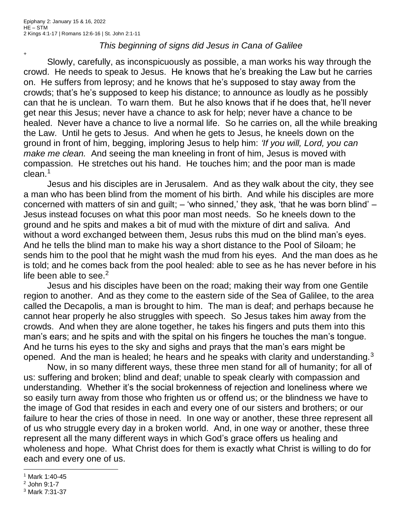+

## *This beginning of signs did Jesus in Cana of Galilee*

Slowly, carefully, as inconspicuously as possible, a man works his way through the crowd. He needs to speak to Jesus. He knows that he's breaking the Law but he carries on. He suffers from leprosy; and he knows that he's supposed to stay away from the crowds; that's he's supposed to keep his distance; to announce as loudly as he possibly can that he is unclean. To warn them. But he also knows that if he does that, he'll never get near this Jesus; never have a chance to ask for help; never have a chance to be healed. Never have a chance to live a normal life. So he carries on, all the while breaking the Law. Until he gets to Jesus. And when he gets to Jesus, he kneels down on the ground in front of him, begging, imploring Jesus to help him: *'If you will, Lord, you can make me clean.* And seeing the man kneeling in front of him, Jesus is moved with compassion. He stretches out his hand. He touches him; and the poor man is made clean.<sup>1</sup>

Jesus and his disciples are in Jerusalem. And as they walk about the city, they see a man who has been blind from the moment of his birth. And while his disciples are more concerned with matters of sin and guilt; – 'who sinned,' they ask, 'that he was born blind' – Jesus instead focuses on what this poor man most needs. So he kneels down to the ground and he spits and makes a bit of mud with the mixture of dirt and saliva. And without a word exchanged between them, Jesus rubs this mud on the blind man's eyes. And he tells the blind man to make his way a short distance to the Pool of Siloam; he sends him to the pool that he might wash the mud from his eyes. And the man does as he is told; and he comes back from the pool healed: able to see as he has never before in his life been able to see. $2$ 

Jesus and his disciples have been on the road; making their way from one Gentile region to another. And as they come to the eastern side of the Sea of Galilee, to the area called the Decapolis, a man is brought to him. The man is deaf; and perhaps because he cannot hear properly he also struggles with speech. So Jesus takes him away from the crowds. And when they are alone together, he takes his fingers and puts them into this man's ears; and he spits and with the spital on his fingers he touches the man's tongue. And he turns his eyes to the sky and sighs and prays that the man's ears might be opened. And the man is healed; he hears and he speaks with clarity and understanding. $3$ 

Now, in so many different ways, these three men stand for all of humanity; for all of us: suffering and broken; blind and deaf; unable to speak clearly with compassion and understanding. Whether it's the social brokenness of rejection and loneliness where we so easily turn away from those who frighten us or offend us; or the blindness we have to the image of God that resides in each and every one of our sisters and brothers; or our failure to hear the cries of those in need. In one way or another, these three represent all of us who struggle every day in a broken world. And, in one way or another, these three represent all the many different ways in which God's grace offers us healing and wholeness and hope. What Christ does for them is exactly what Christ is willing to do for each and every one of us.

<sup>1</sup> Mark 1:40-45

<sup>2</sup> John 9:1-7

<sup>3</sup> Mark 7:31-37